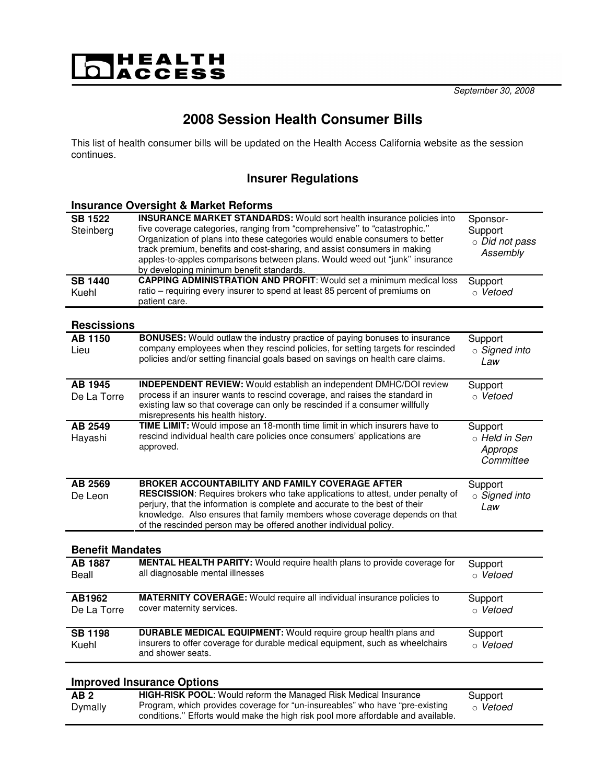# |HEALTH<br>|access

# **2008 Session Health Consumer Bills**

This list of health consumer bills will be updated on the Health Access California website as the session continues.

### **Insurer Regulations**

|                                               | <b>Insurance Oversight &amp; Market Reforms</b>                                                                                                                                                                                                                                                                                                                                                                                                                                                                                |                                                              |  |
|-----------------------------------------------|--------------------------------------------------------------------------------------------------------------------------------------------------------------------------------------------------------------------------------------------------------------------------------------------------------------------------------------------------------------------------------------------------------------------------------------------------------------------------------------------------------------------------------|--------------------------------------------------------------|--|
| <b>SB 1522</b><br>Steinberg<br><b>SB 1440</b> | <b>INSURANCE MARKET STANDARDS:</b> Would sort health insurance policies into<br>five coverage categories, ranging from "comprehensive" to "catastrophic."<br>Organization of plans into these categories would enable consumers to better<br>track premium, benefits and cost-sharing, and assist consumers in making<br>apples-to-apples comparisons between plans. Would weed out "junk" insurance<br>by developing minimum benefit standards.<br><b>CAPPING ADMINISTRATION AND PROFIT: Would set a minimum medical loss</b> | Sponsor-<br>Support<br>o Did not pass<br>Assembly<br>Support |  |
| Kuehl                                         | ratio - requiring every insurer to spend at least 85 percent of premiums on                                                                                                                                                                                                                                                                                                                                                                                                                                                    | ○ Vetoed                                                     |  |
| <b>Rescissions</b>                            | patient care.                                                                                                                                                                                                                                                                                                                                                                                                                                                                                                                  |                                                              |  |
| <b>AB 1150</b><br>Lieu                        | BONUSES: Would outlaw the industry practice of paying bonuses to insurance<br>company employees when they rescind policies, for setting targets for rescinded<br>policies and/or setting financial goals based on savings on health care claims.                                                                                                                                                                                                                                                                               | Support<br>$\circ$ Signed into<br>Law                        |  |
| AB 1945<br>De La Torre                        | <b>INDEPENDENT REVIEW:</b> Would establish an independent DMHC/DOI review<br>process if an insurer wants to rescind coverage, and raises the standard in<br>existing law so that coverage can only be rescinded if a consumer willfully<br>misrepresents his health history.                                                                                                                                                                                                                                                   | Support<br>o Vetoed                                          |  |
| AB 2549<br>Hayashi                            | TIME LIMIT: Would impose an 18-month time limit in which insurers have to<br>rescind individual health care policies once consumers' applications are<br>approved.                                                                                                                                                                                                                                                                                                                                                             | Support<br>o Held in Sen<br>Approps<br>Committee             |  |
| AB 2569<br>De Leon                            | BROKER ACCOUNTABILITY AND FAMILY COVERAGE AFTER<br>RESCISSION: Requires brokers who take applications to attest, under penalty of<br>perjury, that the information is complete and accurate to the best of their<br>knowledge. Also ensures that family members whose coverage depends on that<br>of the rescinded person may be offered another individual policy.                                                                                                                                                            | Support<br>○ Signed into<br>Law                              |  |
| <b>Benefit Mandates</b>                       |                                                                                                                                                                                                                                                                                                                                                                                                                                                                                                                                |                                                              |  |
| <b>AB 1887</b><br>Beall                       | MENTAL HEALTH PARITY: Would require health plans to provide coverage for<br>all diagnosable mental illnesses                                                                                                                                                                                                                                                                                                                                                                                                                   | Support<br>○ Vetoed                                          |  |
| AB1962<br>De La Torre                         | <b>MATERNITY COVERAGE:</b> Would require all individual insurance policies to<br>cover maternity services.                                                                                                                                                                                                                                                                                                                                                                                                                     | Support<br>○ Vetoed                                          |  |
| <b>SB 1198</b><br>Kuehl                       | <b>DURABLE MEDICAL EQUIPMENT:</b> Would require group health plans and<br>insurers to offer coverage for durable medical equipment, such as wheelchairs<br>and shower seats.                                                                                                                                                                                                                                                                                                                                                   | Support<br>o Vetoed                                          |  |
|                                               | <b>Improved Insurance Options</b>                                                                                                                                                                                                                                                                                                                                                                                                                                                                                              |                                                              |  |
| AB2<br>Dymally                                | HIGH-RISK POOL: Would reform the Managed Risk Medical Insurance<br>Program, which provides coverage for "un-insureables" who have "pre-existing                                                                                                                                                                                                                                                                                                                                                                                | Support<br>o Vetoed                                          |  |

conditions.'' Efforts would make the high risk pool more affordable and available.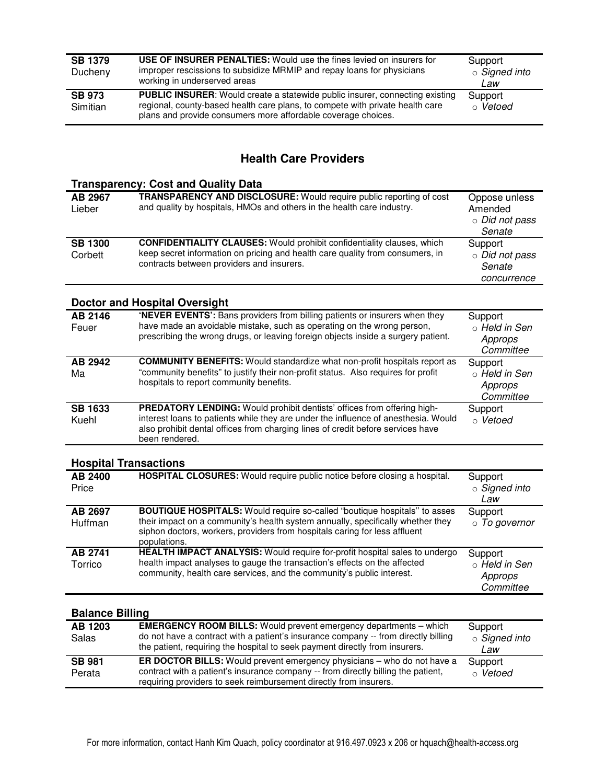| <b>SB 1379</b><br>Ducheny | USE OF INSURER PENALTIES: Would use the fines levied on insurers for<br>improper rescissions to subsidize MRMIP and repay loans for physicians<br>working in underserved areas                                                        | Support<br>○ Signed into<br>Law |
|---------------------------|---------------------------------------------------------------------------------------------------------------------------------------------------------------------------------------------------------------------------------------|---------------------------------|
| <b>SB 973</b><br>Simitian | <b>PUBLIC INSURER:</b> Would create a statewide public insurer, connecting existing<br>regional, county-based health care plans, to compete with private health care<br>plans and provide consumers more affordable coverage choices. | Support<br>○ Vetoed             |

#### **Health Care Providers**

#### **Transparency: Cost and Quality Data**

| AB 2967<br>Lieber                    | <b>TRANSPARENCY AND DISCLOSURE:</b> Would require public reporting of cost<br>and quality by hospitals, HMOs and others in the health care industry.                                                                                      | Oppose unless<br>Amended<br>○ Did not pass<br>Senate |  |
|--------------------------------------|-------------------------------------------------------------------------------------------------------------------------------------------------------------------------------------------------------------------------------------------|------------------------------------------------------|--|
| <b>SB 1300</b><br>Corbett            | <b>CONFIDENTIALITY CLAUSES:</b> Would prohibit confidentiality clauses, which<br>keep secret information on pricing and health care quality from consumers, in<br>contracts between providers and insurers.                               | Support<br>○ Did not pass<br>Senate<br>concurrence   |  |
| <b>Doctor and Hospital Oversight</b> |                                                                                                                                                                                                                                           |                                                      |  |
| AB 2146<br>Feuer                     | 'NEVER EVENTS': Bans providers from billing patients or insurers when they<br>have made an avoidable mistake, such as operating on the wrong person,<br>prescribing the wrong drugs, or leaving foreign objects inside a surgery patient. | Support<br>⊙ Held in Sen<br>Approps<br>Committee     |  |
| AB 2942<br>Ma                        | <b>COMMUNITY BENEFITS:</b> Would standardize what non-profit hospitals report as<br>"community benefits" to justify their non-profit status. Also requires for profit<br>hospitals to report community benefits.                          | Support<br>o Held in Sen<br>Approps<br>Committee     |  |
| <b>SB 1633</b>                       | <b>PREDATORY LENDING:</b> Would prohibit dentists' offices from offering high-                                                                                                                                                            | Support                                              |  |

#### **Hospital Transactions**

been rendered.

Kuehl

| AB 2400<br>Price   | HOSPITAL CLOSURES: Would require public notice before closing a hospital.                                                                                                                                                                                         | Support<br>$\circ$ Signed into<br>Law            |
|--------------------|-------------------------------------------------------------------------------------------------------------------------------------------------------------------------------------------------------------------------------------------------------------------|--------------------------------------------------|
| AB 2697<br>Huffman | <b>BOUTIQUE HOSPITALS:</b> Would require so-called "boutique hospitals" to asses<br>their impact on a community's health system annually, specifically whether they<br>siphon doctors, workers, providers from hospitals caring for less affluent<br>populations. | Support<br>o To governor                         |
| AB 2741<br>Torrico | HEALTH IMPACT ANALYSIS: Would require for-profit hospital sales to undergo<br>health impact analyses to gauge the transaction's effects on the affected<br>community, health care services, and the community's public interest.                                  | Support<br>o Held in Sen<br>Approps<br>Committee |

interest loans to patients while they are under the influence of anesthesia. Would also prohibit dental offices from charging lines of credit before services have

o Vetoed

#### **Balance Billing**

| AB 1203<br><b>Salas</b> | <b>EMERGENCY ROOM BILLS:</b> Would prevent emergency departments - which<br>do not have a contract with a patient's insurance company -- from directly billing<br>the patient, requiring the hospital to seek payment directly from insurers. | Support<br>○ Signed into<br>Law |
|-------------------------|-----------------------------------------------------------------------------------------------------------------------------------------------------------------------------------------------------------------------------------------------|---------------------------------|
| <b>SB 981</b><br>Perata | ER DOCTOR BILLS: Would prevent emergency physicians - who do not have a<br>contract with a patient's insurance company -- from directly billing the patient,<br>requiring providers to seek reimbursement directly from insurers.             | Support<br>⊙ Vetoed             |